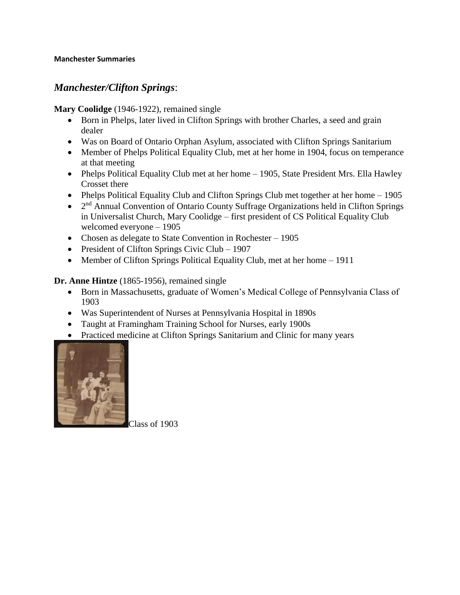## *Manchester/Clifton Springs*:

**Mary Coolidge** (1946-1922), remained single

- Born in Phelps, later lived in Clifton Springs with brother Charles, a seed and grain dealer
- Was on Board of Ontario Orphan Asylum, associated with Clifton Springs Sanitarium
- Member of Phelps Political Equality Club, met at her home in 1904, focus on temperance at that meeting
- Phelps Political Equality Club met at her home 1905, State President Mrs. Ella Hawley Crosset there
- Phelps Political Equality Club and Clifton Springs Club met together at her home 1905
- $\bullet$  2<sup>nd</sup> Annual Convention of Ontario County Suffrage Organizations held in Clifton Springs in Universalist Church, Mary Coolidge – first president of CS Political Equality Club welcomed everyone – 1905
- Chosen as delegate to State Convention in Rochester 1905
- President of Clifton Springs Civic Club 1907
- Member of Clifton Springs Political Equality Club, met at her home 1911

**Dr. Anne Hintze** (1865-1956), remained single

- Born in Massachusetts, graduate of Women's Medical College of Pennsylvania Class of 1903
- Was Superintendent of Nurses at Pennsylvania Hospital in 1890s
- Taught at Framingham Training School for Nurses, early 1900s
- Practiced medicine at Clifton Springs Sanitarium and Clinic for many years



Class of 1903